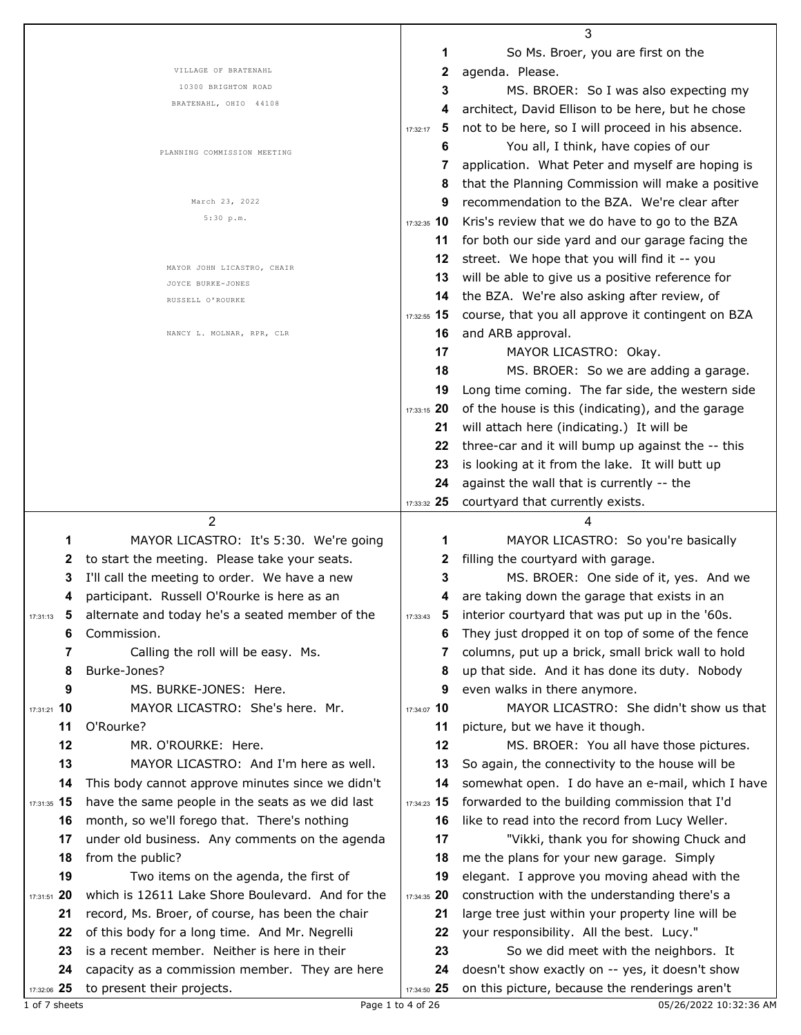|                   |                                                                              |                   | 3                                                                                                 |
|-------------------|------------------------------------------------------------------------------|-------------------|---------------------------------------------------------------------------------------------------|
|                   |                                                                              | 1                 | So Ms. Broer, you are first on the                                                                |
|                   | VILLAGE OF BRATENAHL                                                         | 2                 | agenda. Please.                                                                                   |
|                   | 10300 BRIGHTON ROAD                                                          | 3                 | MS. BROER: So I was also expecting my                                                             |
|                   | BRATENAHL, OHIO 44108                                                        | 4                 | architect, David Ellison to be here, but he chose                                                 |
|                   |                                                                              | 5<br>17:32:17     | not to be here, so I will proceed in his absence.                                                 |
|                   |                                                                              | 6                 | You all, I think, have copies of our                                                              |
|                   | PLANNING COMMISSION MEETING                                                  | 7                 | application. What Peter and myself are hoping is                                                  |
|                   |                                                                              | 8                 | that the Planning Commission will make a positive                                                 |
|                   | March 23, 2022                                                               | 9                 | recommendation to the BZA. We're clear after                                                      |
|                   | 5:30 p.m.                                                                    |                   |                                                                                                   |
|                   |                                                                              | 17:32:35 10       | Kris's review that we do have to go to the BZA                                                    |
|                   |                                                                              | 11                | for both our side yard and our garage facing the                                                  |
|                   | MAYOR JOHN LICASTRO, CHAIR                                                   | 12                | street. We hope that you will find it -- you                                                      |
|                   | JOYCE BURKE-JONES                                                            | 13                | will be able to give us a positive reference for                                                  |
|                   | RUSSELL O'ROURKE                                                             | 14                | the BZA. We're also asking after review, of                                                       |
|                   |                                                                              | 17:32:55 15       | course, that you all approve it contingent on BZA                                                 |
|                   | NANCY L. MOLNAR, RPR, CLR                                                    | 16                | and ARB approval.                                                                                 |
|                   |                                                                              | 17                | MAYOR LICASTRO: Okay.                                                                             |
|                   |                                                                              | 18                | MS. BROER: So we are adding a garage.                                                             |
|                   |                                                                              | 19                | Long time coming. The far side, the western side                                                  |
|                   |                                                                              | 17:33:15 20       | of the house is this (indicating), and the garage                                                 |
|                   |                                                                              | 21                | will attach here (indicating.) It will be                                                         |
|                   |                                                                              | 22                | three-car and it will bump up against the -- this                                                 |
|                   |                                                                              | 23                | is looking at it from the lake. It will butt up                                                   |
|                   |                                                                              | 24                | against the wall that is currently -- the                                                         |
|                   |                                                                              |                   |                                                                                                   |
|                   |                                                                              |                   |                                                                                                   |
|                   |                                                                              | 17:33:32 25       | courtyard that currently exists.                                                                  |
|                   | $\mathfrak{p}$                                                               |                   | 4                                                                                                 |
| 1                 | MAYOR LICASTRO: It's 5:30. We're going                                       | 1                 | MAYOR LICASTRO: So you're basically                                                               |
| 2                 | to start the meeting. Please take your seats.                                | 2                 | filling the courtyard with garage.                                                                |
| 3                 | I'll call the meeting to order. We have a new                                | 3                 | MS. BROER: One side of it, yes. And we                                                            |
| 4                 | participant. Russell O'Rourke is here as an                                  | 4                 | are taking down the garage that exists in an                                                      |
| 17:31:13          | alternate and today he's a seated member of the                              | $17:33:43$ 5      | interior courtyard that was put up in the '60s.                                                   |
| 6                 | Commission.                                                                  | 6                 | They just dropped it on top of some of the fence                                                  |
| 7                 | Calling the roll will be easy. Ms.                                           | 7                 | columns, put up a brick, small brick wall to hold                                                 |
| 8                 | Burke-Jones?                                                                 | 8                 | up that side. And it has done its duty. Nobody                                                    |
| 9                 | MS. BURKE-JONES: Here.                                                       | 9                 | even walks in there anymore.                                                                      |
| 17:31:21 10       | MAYOR LICASTRO: She's here. Mr.                                              | 17:34:07 10       | MAYOR LICASTRO: She didn't show us that                                                           |
| 11                | O'Rourke?                                                                    | 11                | picture, but we have it though.                                                                   |
| 12                | MR. O'ROURKE: Here.                                                          | 12                | MS. BROER: You all have those pictures.                                                           |
| 13                | MAYOR LICASTRO: And I'm here as well.                                        | 13                | So again, the connectivity to the house will be                                                   |
| 14                | This body cannot approve minutes since we didn't                             | 14                | somewhat open. I do have an e-mail, which I have                                                  |
| 17:31:35 15       | have the same people in the seats as we did last                             | 17:34:23 15       |                                                                                                   |
| 16                | month, so we'll forego that. There's nothing                                 | 16                | forwarded to the building commission that I'd<br>like to read into the record from Lucy Weller.   |
| 17                | under old business. Any comments on the agenda                               | 17                | "Vikki, thank you for showing Chuck and                                                           |
| 18                |                                                                              | 18                |                                                                                                   |
|                   | from the public?                                                             | 19                | me the plans for your new garage. Simply                                                          |
| 19                | Two items on the agenda, the first of                                        |                   | elegant. I approve you moving ahead with the                                                      |
| 17:31:51 20       | which is 12611 Lake Shore Boulevard. And for the                             | 17:34:35 20       | construction with the understanding there's a                                                     |
| 21                | record, Ms. Broer, of course, has been the chair                             | 21                | large tree just within your property line will be                                                 |
| 22                | of this body for a long time. And Mr. Negrelli                               | 22                | your responsibility. All the best. Lucy."                                                         |
| 23                | is a recent member. Neither is here in their                                 | 23                | So we did meet with the neighbors. It                                                             |
| 24<br>17:32:06 25 | capacity as a commission member. They are here<br>to present their projects. | 24<br>17:34:50 25 | doesn't show exactly on -- yes, it doesn't show<br>on this picture, because the renderings aren't |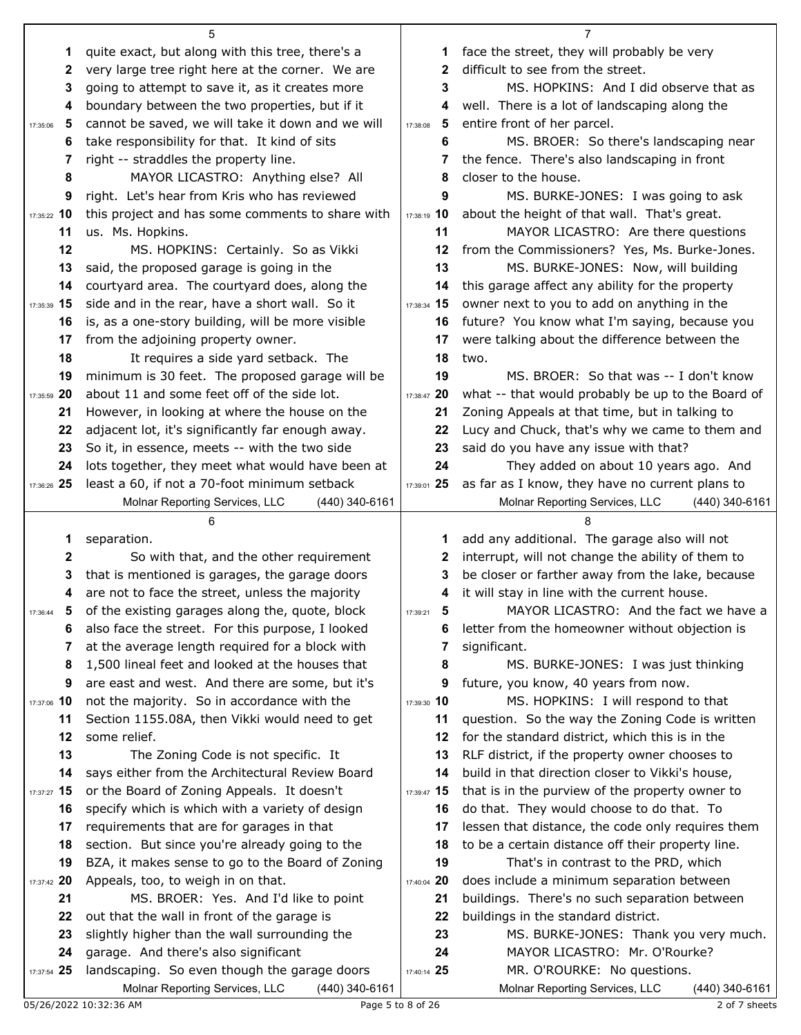|               | 5                                                                          |               | 7                                                  |
|---------------|----------------------------------------------------------------------------|---------------|----------------------------------------------------|
| 1             | quite exact, but along with this tree, there's a                           | 1             | face the street, they will probably be very        |
| 2             | very large tree right here at the corner. We are                           | 2             | difficult to see from the street.                  |
| 3             | going to attempt to save it, as it creates more                            | 3             | MS. HOPKINS: And I did observe that as             |
| 4             | boundary between the two properties, but if it                             | 4             | well. There is a lot of landscaping along the      |
| 5<br>17:35:06 | cannot be saved, we will take it down and we will                          | 5<br>17:38:08 | entire front of her parcel.                        |
| 6             | take responsibility for that. It kind of sits                              | 6             | MS. BROER: So there's landscaping near             |
| 7             | right -- straddles the property line.                                      | 7             | the fence. There's also landscaping in front       |
| 8             | MAYOR LICASTRO: Anything else? All                                         | 8             | closer to the house.                               |
| 9             | right. Let's hear from Kris who has reviewed                               | 9             | MS. BURKE-JONES: I was going to ask                |
| 17:35:22 10   | this project and has some comments to share with                           | 17:38:19 10   | about the height of that wall. That's great.       |
| 11            | us. Ms. Hopkins.                                                           | 11            | MAYOR LICASTRO: Are there questions                |
| 12            | MS. HOPKINS: Certainly. So as Vikki                                        | 12            | from the Commissioners? Yes, Ms. Burke-Jones.      |
| 13            | said, the proposed garage is going in the                                  | 13            | MS. BURKE-JONES: Now, will building                |
| 14            | courtyard area. The courtyard does, along the                              | 14            | this garage affect any ability for the property    |
| 17:35:39 15   | side and in the rear, have a short wall. So it                             | 17:38:34 15   | owner next to you to add on anything in the        |
| 16            | is, as a one-story building, will be more visible                          | 16            | future? You know what I'm saying, because you      |
| 17            | from the adjoining property owner.                                         | 17            | were talking about the difference between the      |
| 18            | It requires a side yard setback. The                                       | 18            | two.                                               |
| 19            | minimum is 30 feet. The proposed garage will be                            | 19            | MS. BROER: So that was -- I don't know             |
| 17:35:59 20   | about 11 and some feet off of the side lot.                                | 17:38:47 20   | what -- that would probably be up to the Board of  |
| 21            | However, in looking at where the house on the                              | 21            | Zoning Appeals at that time, but in talking to     |
| 22            | adjacent lot, it's significantly far enough away.                          | 22            | Lucy and Chuck, that's why we came to them and     |
| 23            | So it, in essence, meets -- with the two side                              | 23            | said do you have any issue with that?              |
| 24            | lots together, they meet what would have been at                           | 24            | They added on about 10 years ago. And              |
| 17:36:26 25   | least a 60, if not a 70-foot minimum setback                               | 17:39:01 25   | as far as I know, they have no current plans to    |
|               | Molnar Reporting Services, LLC<br>$(440)$ 340-6161                         |               | Molnar Reporting Services, LLC<br>$(440)$ 340-6161 |
|               |                                                                            |               |                                                    |
|               |                                                                            |               |                                                    |
| 1             | separation.                                                                | 1             | add any additional. The garage also will not       |
| 2             | So with that, and the other requirement                                    | 2             | interrupt, will not change the ability of them to  |
| 3             | that is mentioned is garages, the garage doors                             | 3             | be closer or farther away from the lake, because   |
| 4             | are not to face the street, unless the majority                            | 4             | it will stay in line with the current house.       |
| 5<br>17:36:44 | of the existing garages along the, quote, block                            | 5<br>17:39:21 | MAYOR LICASTRO: And the fact we have a             |
| 6             | also face the street. For this purpose, I looked                           | 6             | letter from the homeowner without objection is     |
| 7             | at the average length required for a block with                            | 7             | significant.                                       |
| 8             | 1,500 lineal feet and looked at the houses that                            | 8             | MS. BURKE-JONES: I was just thinking               |
| 9             | are east and west. And there are some, but it's                            | 9             | future, you know, 40 years from now.               |
| 17:37:06 10   | not the majority. So in accordance with the                                | 17:39:30 10   | MS. HOPKINS: I will respond to that                |
| 11            | Section 1155.08A, then Vikki would need to get                             | 11            | question. So the way the Zoning Code is written    |
| 12            | some relief.                                                               | 12            | for the standard district, which this is in the    |
| 13            | The Zoning Code is not specific. It                                        | 13            | RLF district, if the property owner chooses to     |
| 14            | says either from the Architectural Review Board                            | 14            | build in that direction closer to Vikki's house,   |
| 17:37:27 15   | or the Board of Zoning Appeals. It doesn't                                 | 17:39:47 15   | that is in the purview of the property owner to    |
| 16            | specify which is which with a variety of design                            | 16            | do that. They would choose to do that. To          |
| 17            | requirements that are for garages in that                                  | 17            | lessen that distance, the code only requires them  |
| 18            | section. But since you're already going to the                             | 18            | to be a certain distance off their property line.  |
| 19            | BZA, it makes sense to go to the Board of Zoning                           | 19            | That's in contrast to the PRD, which               |
| 17:37:42 20   | Appeals, too, to weigh in on that.                                         | 17:40:04 20   | does include a minimum separation between          |
| 21            | MS. BROER: Yes. And I'd like to point                                      | 21            | buildings. There's no such separation between      |
| 22            | out that the wall in front of the garage is                                | 22            | buildings in the standard district.                |
| 23            | slightly higher than the wall surrounding the                              | 23            | MS. BURKE-JONES: Thank you very much.              |
| 24            | garage. And there's also significant                                       | 24            | MAYOR LICASTRO: Mr. O'Rourke?                      |
| 17:37:54 25   | landscaping. So even though the garage doors                               | 17:40:14 25   | MR. O'ROURKE: No questions.                        |
|               | Molnar Reporting Services, LLC<br>(440) 340-6161<br>05/26/2022 10:32:36 AM |               | Molnar Reporting Services, LLC<br>(440) 340-6161   |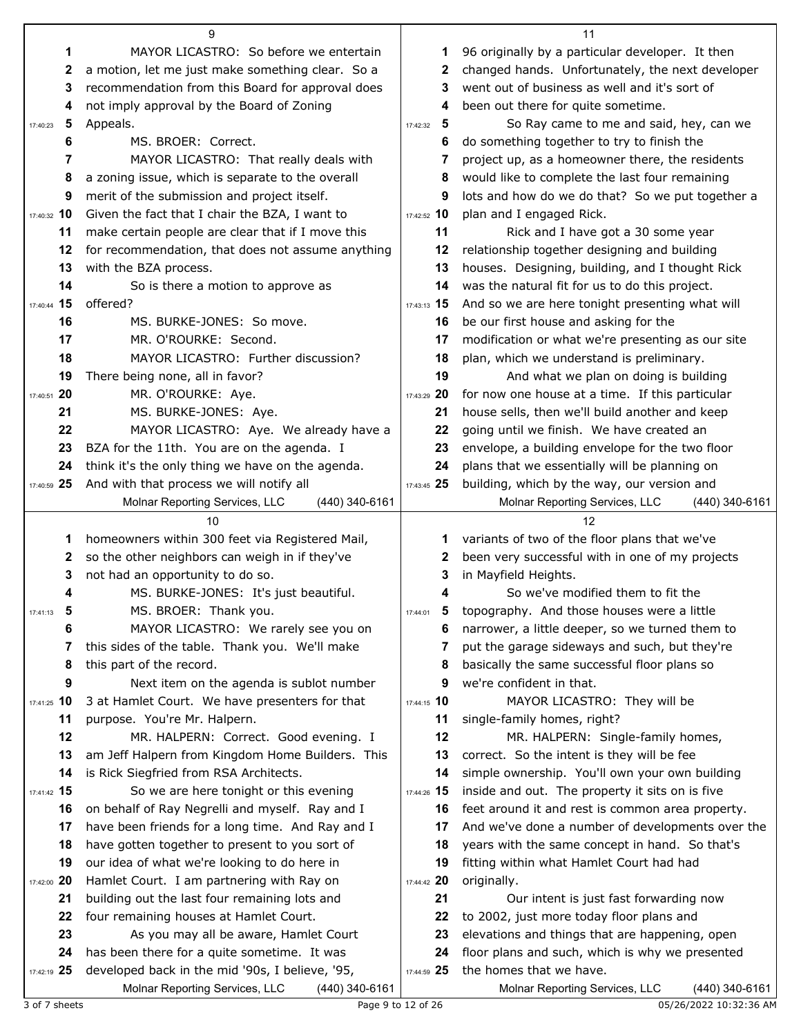|               | 9                                                                                                   |               | 11                                                                                               |
|---------------|-----------------------------------------------------------------------------------------------------|---------------|--------------------------------------------------------------------------------------------------|
| 1             | MAYOR LICASTRO: So before we entertain                                                              | 1             | 96 originally by a particular developer. It then                                                 |
| 2             | a motion, let me just make something clear. So a                                                    | 2             | changed hands. Unfortunately, the next developer                                                 |
| 3             | recommendation from this Board for approval does                                                    | 3             | went out of business as well and it's sort of                                                    |
| 4             | not imply approval by the Board of Zoning                                                           | 4             | been out there for quite sometime.                                                               |
| 5<br>17:40:23 | Appeals.                                                                                            | 5<br>17:42:32 | So Ray came to me and said, hey, can we                                                          |
| 6             | MS. BROER: Correct.                                                                                 | 6             | do something together to try to finish the                                                       |
| 7             | MAYOR LICASTRO: That really deals with                                                              | 7             | project up, as a homeowner there, the residents                                                  |
| 8             | a zoning issue, which is separate to the overall                                                    | 8             | would like to complete the last four remaining                                                   |
| 9             | merit of the submission and project itself.                                                         | 9             | lots and how do we do that? So we put together a                                                 |
| 17:40:32 10   | Given the fact that I chair the BZA, I want to                                                      | 17:42:52 10   | plan and I engaged Rick.                                                                         |
| 11            | make certain people are clear that if I move this                                                   | 11            | Rick and I have got a 30 some year                                                               |
| 12            | for recommendation, that does not assume anything                                                   | 12            | relationship together designing and building                                                     |
| 13            | with the BZA process.                                                                               | 13            | houses. Designing, building, and I thought Rick                                                  |
| 14            | So is there a motion to approve as                                                                  | 14            | was the natural fit for us to do this project.                                                   |
| 17:40:44 15   | offered?                                                                                            | 17:43:13 15   | And so we are here tonight presenting what will                                                  |
| 16            | MS. BURKE-JONES: So move.                                                                           | 16            | be our first house and asking for the                                                            |
| 17            | MR. O'ROURKE: Second.                                                                               | 17            | modification or what we're presenting as our site                                                |
| 18            | MAYOR LICASTRO: Further discussion?                                                                 | 18            | plan, which we understand is preliminary.                                                        |
| 19            | There being none, all in favor?                                                                     | 19            | And what we plan on doing is building                                                            |
| 17:40:51 20   | MR. O'ROURKE: Aye.                                                                                  | 17:43:29 20   | for now one house at a time. If this particular                                                  |
| 21            | MS. BURKE-JONES: Aye.                                                                               | 21            | house sells, then we'll build another and keep                                                   |
| 22            | MAYOR LICASTRO: Aye. We already have a                                                              | 22            | going until we finish. We have created an                                                        |
| 23            | BZA for the 11th. You are on the agenda. I                                                          | 23            | envelope, a building envelope for the two floor                                                  |
| 24            | think it's the only thing we have on the agenda.                                                    | 24            | plans that we essentially will be planning on                                                    |
| 17:40:59 25   | And with that process we will notify all                                                            | 17:43:45 25   | building, which by the way, our version and                                                      |
|               | Molnar Reporting Services, LLC<br>(440) 340-6161                                                    |               | Molnar Reporting Services, LLC<br>$(440)$ 340-6161                                               |
|               |                                                                                                     |               |                                                                                                  |
|               | 10                                                                                                  |               | 12                                                                                               |
| 1             | homeowners within 300 feet via Registered Mail,                                                     | 1             |                                                                                                  |
| 2             | so the other neighbors can weigh in if they've                                                      | 2             | variants of two of the floor plans that we've<br>been very successful with in one of my projects |
| 3             | not had an opportunity to do so.                                                                    | 3             | in Mayfield Heights.                                                                             |
| 4             | MS. BURKE-JONES: It's just beautiful.                                                               |               | So we've modified them to fit the                                                                |
| 17:41:13      | MS. BROER: Thank you.                                                                               | 17:44:01      | topography. And those houses were a little                                                       |
| 6             | MAYOR LICASTRO: We rarely see you on                                                                | 6             | narrower, a little deeper, so we turned them to                                                  |
| 7             | this sides of the table. Thank you. We'll make                                                      | 7             | put the garage sideways and such, but they're                                                    |
| 8             | this part of the record.                                                                            | 8             | basically the same successful floor plans so                                                     |
| 9             | Next item on the agenda is sublot number                                                            | 9             | we're confident in that.                                                                         |
| 17:41:25 10   | 3 at Hamlet Court. We have presenters for that                                                      | 17:44:15 10   | MAYOR LICASTRO: They will be                                                                     |
| 11            | purpose. You're Mr. Halpern.                                                                        | 11            | single-family homes, right?                                                                      |
| 12            | MR. HALPERN: Correct. Good evening. I                                                               | 12            | MR. HALPERN: Single-family homes,                                                                |
| 13            | am Jeff Halpern from Kingdom Home Builders. This                                                    | 13            | correct. So the intent is they will be fee                                                       |
| 14            | is Rick Siegfried from RSA Architects.                                                              | 14            | simple ownership. You'll own your own building                                                   |
| 17:41:42 15   | So we are here tonight or this evening                                                              | 17:44:26 15   | inside and out. The property it sits on is five                                                  |
| 16            | on behalf of Ray Negrelli and myself. Ray and I                                                     | 16            | feet around it and rest is common area property.                                                 |
| 17            | have been friends for a long time. And Ray and I                                                    | 17            | And we've done a number of developments over the                                                 |
| 18            | have gotten together to present to you sort of                                                      | 18            | years with the same concept in hand. So that's                                                   |
| 19            | our idea of what we're looking to do here in                                                        | 19            | fitting within what Hamlet Court had had                                                         |
| 17:42:00 20   | Hamlet Court. I am partnering with Ray on                                                           | 17:44:42 20   | originally.                                                                                      |
| 21            | building out the last four remaining lots and                                                       | 21            | Our intent is just fast forwarding now                                                           |
| 22            | four remaining houses at Hamlet Court.                                                              | 22            | to 2002, just more today floor plans and                                                         |
| 23            | As you may all be aware, Hamlet Court                                                               | 23            | elevations and things that are happening, open                                                   |
| 24            | has been there for a quite sometime. It was                                                         | 24            | floor plans and such, which is why we presented                                                  |
| 17:42:19 25   | developed back in the mid '90s, I believe, '95,<br>Molnar Reporting Services, LLC<br>(440) 340-6161 | 17:44:59 25   | the homes that we have.<br>Molnar Reporting Services, LLC<br>(440) 340-6161                      |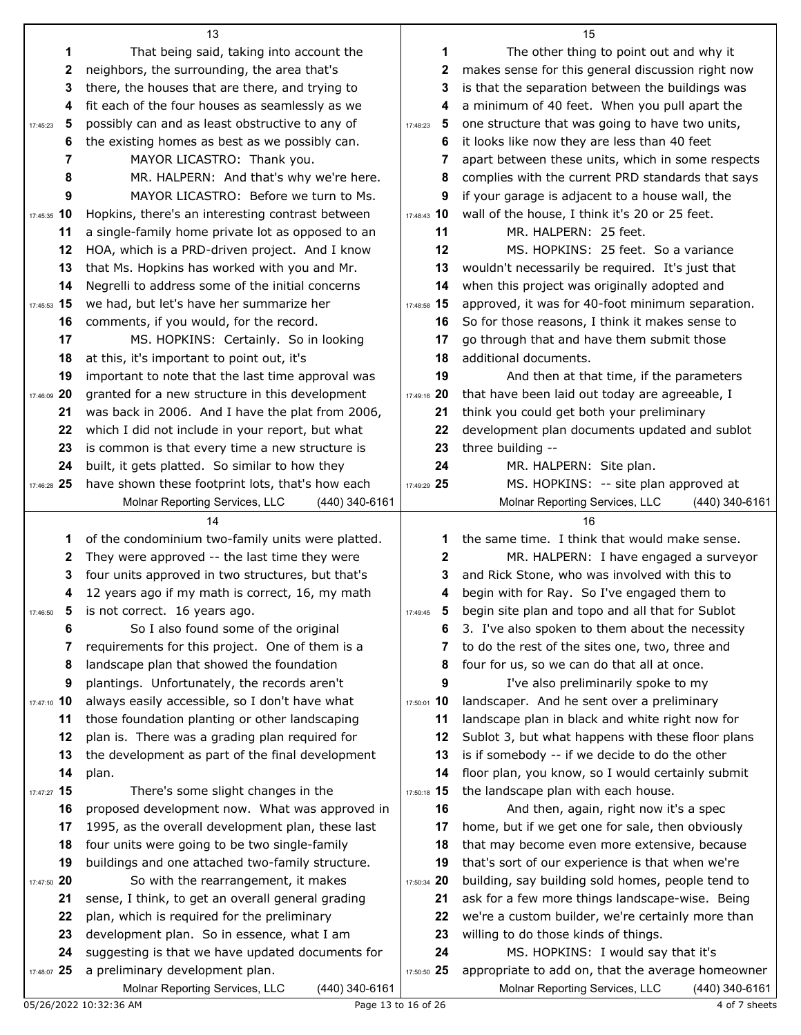|                                     | 13                                                                                  |               | 15                                                                                      |
|-------------------------------------|-------------------------------------------------------------------------------------|---------------|-----------------------------------------------------------------------------------------|
| 1                                   | That being said, taking into account the                                            | 1             | The other thing to point out and why it                                                 |
| 2                                   | neighbors, the surrounding, the area that's                                         | 2             | makes sense for this general discussion right now                                       |
| 3                                   | there, the houses that are there, and trying to                                     | 3             | is that the separation between the buildings was                                        |
| 4                                   | fit each of the four houses as seamlessly as we                                     | 4             | a minimum of 40 feet. When you pull apart the                                           |
| 5<br>17:45:23                       | possibly can and as least obstructive to any of                                     | 5<br>17:48:23 | one structure that was going to have two units,                                         |
| 6                                   | the existing homes as best as we possibly can.                                      | 6             | it looks like now they are less than 40 feet                                            |
| 7                                   | MAYOR LICASTRO: Thank you.                                                          | 7             | apart between these units, which in some respects                                       |
| 8                                   | MR. HALPERN: And that's why we're here.                                             | 8             | complies with the current PRD standards that says                                       |
| 9                                   | MAYOR LICASTRO: Before we turn to Ms.                                               | 9             | if your garage is adjacent to a house wall, the                                         |
| 17:45:35 10                         | Hopkins, there's an interesting contrast between                                    | 17:48:43 10   | wall of the house, I think it's 20 or 25 feet.                                          |
| 11                                  | a single-family home private lot as opposed to an                                   | 11            | MR. HALPERN: 25 feet.                                                                   |
| 12                                  | HOA, which is a PRD-driven project. And I know                                      | 12            | MS. HOPKINS: 25 feet. So a variance                                                     |
| 13                                  | that Ms. Hopkins has worked with you and Mr.                                        | 13            | wouldn't necessarily be required. It's just that                                        |
| 14                                  | Negrelli to address some of the initial concerns                                    | 14            | when this project was originally adopted and                                            |
| 17:45:53 15                         | we had, but let's have her summarize her                                            | 17:48:58 15   | approved, it was for 40-foot minimum separation.                                        |
| 16                                  | comments, if you would, for the record.                                             | 16            | So for those reasons, I think it makes sense to                                         |
| 17                                  | MS. HOPKINS: Certainly. So in looking                                               | 17            | go through that and have them submit those                                              |
| 18                                  | at this, it's important to point out, it's                                          | 18            | additional documents.                                                                   |
| 19                                  | important to note that the last time approval was                                   | 19            | And then at that time, if the parameters                                                |
| 17:46:09 20                         | granted for a new structure in this development                                     | 17:49:16 20   | that have been laid out today are agreeable, I                                          |
| 21                                  | was back in 2006. And I have the plat from 2006,                                    | 21            | think you could get both your preliminary                                               |
| 22                                  | which I did not include in your report, but what                                    | 22            | development plan documents updated and sublot                                           |
| 23                                  | is common is that every time a new structure is                                     | 23            | three building --                                                                       |
| 24                                  | built, it gets platted. So similar to how they                                      | 24            | MR. HALPERN: Site plan.                                                                 |
| 17:46:28 25                         | have shown these footprint lots, that's how each                                    | 17:49:29 25   | MS. HOPKINS: -- site plan approved at                                                   |
|                                     | Molnar Reporting Services, LLC<br>$(440)$ 340-6161                                  |               | Molnar Reporting Services, LLC<br>(440) 340-6161                                        |
|                                     |                                                                                     |               |                                                                                         |
|                                     | 14                                                                                  |               | 16                                                                                      |
| 1                                   | of the condominium two-family units were platted.                                   | 1             | the same time. I think that would make sense.                                           |
| 2                                   | They were approved -- the last time they were                                       | 2             | MR. HALPERN: I have engaged a surveyor                                                  |
| 3                                   | four units approved in two structures, but that's                                   | 3             | and Rick Stone, who was involved with this to                                           |
| 4                                   | 12 years ago if my math is correct, 16, my math                                     | 4             | begin with for Ray. So I've engaged them to                                             |
| $\overline{\mathbf{5}}$<br>17:46:50 | is not correct. 16 years ago.                                                       | 5<br>17:49:45 | begin site plan and topo and all that for Sublot                                        |
| 6                                   | So I also found some of the original                                                | 6             | 3. I've also spoken to them about the necessity                                         |
| 7                                   | requirements for this project. One of them is a                                     | 7             | to do the rest of the sites one, two, three and                                         |
| 8                                   | landscape plan that showed the foundation                                           | 8             | four for us, so we can do that all at once.                                             |
| 9                                   | plantings. Unfortunately, the records aren't                                        | 9             | I've also preliminarily spoke to my                                                     |
| 17:47:10 10                         | always easily accessible, so I don't have what                                      | 17:50:01 10   | landscaper. And he sent over a preliminary                                              |
| 11                                  | those foundation planting or other landscaping                                      | 11            | landscape plan in black and white right now for                                         |
| 12                                  | plan is. There was a grading plan required for                                      | 12            | Sublot 3, but what happens with these floor plans                                       |
| 13                                  | the development as part of the final development                                    | 13            | is if somebody -- if we decide to do the other                                          |
| 14                                  | plan.                                                                               | 14            | floor plan, you know, so I would certainly submit                                       |
| 17:47:27 15                         | There's some slight changes in the                                                  | 17:50:18 15   | the landscape plan with each house.                                                     |
| 16                                  | proposed development now. What was approved in                                      | 16            | And then, again, right now it's a spec                                                  |
| 17                                  | 1995, as the overall development plan, these last                                   | 17            | home, but if we get one for sale, then obviously                                        |
| 18                                  | four units were going to be two single-family                                       | 18            | that may become even more extensive, because                                            |
| 19                                  | buildings and one attached two-family structure.                                    | 19            | that's sort of our experience is that when we're                                        |
| 17:47:50 20                         | So with the rearrangement, it makes                                                 | 17:50:34 20   | building, say building sold homes, people tend to                                       |
| 21                                  | sense, I think, to get an overall general grading                                   | 21            | ask for a few more things landscape-wise. Being                                         |
| 22<br>23                            | plan, which is required for the preliminary                                         | 22            | we're a custom builder, we're certainly more than                                       |
| 24                                  | development plan. So in essence, what I am                                          | 23<br>24      | willing to do those kinds of things.                                                    |
| 17:48:07 25                         | suggesting is that we have updated documents for<br>a preliminary development plan. | 17:50:50 25   | MS. HOPKINS: I would say that it's<br>appropriate to add on, that the average homeowner |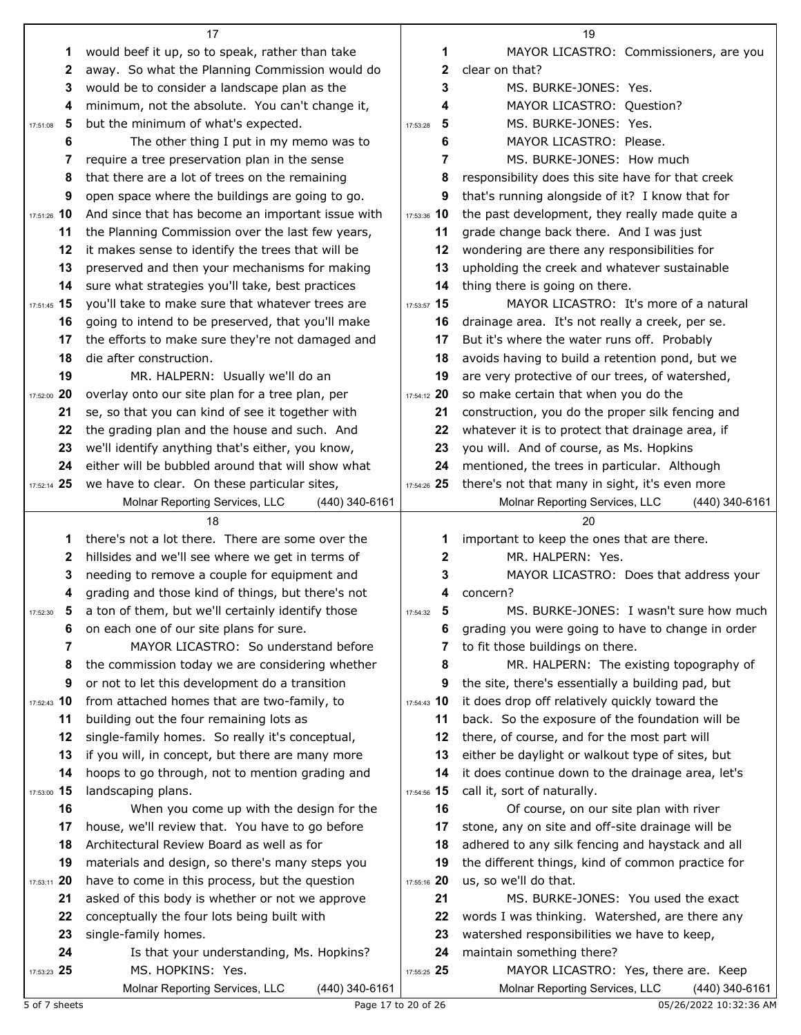|                | 17                                                               |               | 19                                                                       |
|----------------|------------------------------------------------------------------|---------------|--------------------------------------------------------------------------|
| 1              | would beef it up, so to speak, rather than take                  | 1             | MAYOR LICASTRO: Commissioners, are you                                   |
| 2              | away. So what the Planning Commission would do                   | 2             | clear on that?                                                           |
| 3              | would be to consider a landscape plan as the                     | 3             | MS. BURKE-JONES: Yes.                                                    |
| 4              | minimum, not the absolute. You can't change it,                  | 4             | MAYOR LICASTRO: Question?                                                |
| 5<br>17:51:08  | but the minimum of what's expected.                              | 5<br>17:53:28 | MS. BURKE-JONES: Yes.                                                    |
| 6              | The other thing I put in my memo was to                          | 6             | MAYOR LICASTRO: Please.                                                  |
| 7              | require a tree preservation plan in the sense                    | 7             | MS. BURKE-JONES: How much                                                |
| 8              | that there are a lot of trees on the remaining                   | 8             | responsibility does this site have for that creek                        |
| 9              | open space where the buildings are going to go.                  | 9             | that's running alongside of it? I know that for                          |
| 17:51:26 10    | And since that has become an important issue with                | 17:53:36 10   | the past development, they really made quite a                           |
| 11             | the Planning Commission over the last few years,                 | 11            | grade change back there. And I was just                                  |
| 12             | it makes sense to identify the trees that will be                | 12            | wondering are there any responsibilities for                             |
| 13             | preserved and then your mechanisms for making                    | 13            | upholding the creek and whatever sustainable                             |
| 14             | sure what strategies you'll take, best practices                 | 14            | thing there is going on there.                                           |
| 17:51:45 15    | you'll take to make sure that whatever trees are                 | 17:53:57 15   | MAYOR LICASTRO: It's more of a natural                                   |
| 16             | going to intend to be preserved, that you'll make                | 16            | drainage area. It's not really a creek, per se.                          |
| 17             | the efforts to make sure they're not damaged and                 | 17            | But it's where the water runs off. Probably                              |
| 18             | die after construction.                                          | 18            | avoids having to build a retention pond, but we                          |
| 19             | MR. HALPERN: Usually we'll do an                                 | 19            | are very protective of our trees, of watershed,                          |
| 17:52:00 20    | overlay onto our site plan for a tree plan, per                  | 17:54:12 20   | so make certain that when you do the                                     |
| 21             | se, so that you can kind of see it together with                 | 21            | construction, you do the proper silk fencing and                         |
| 22             | the grading plan and the house and such. And                     | 22            | whatever it is to protect that drainage area, if                         |
| 23             | we'll identify anything that's either, you know,                 | 23            | you will. And of course, as Ms. Hopkins                                  |
| 24             | either will be bubbled around that will show what                | 24            | mentioned, the trees in particular. Although                             |
| 17:52:14 25    | we have to clear. On these particular sites,                     | 17:54:26 25   | there's not that many in sight, it's even more                           |
|                | Molnar Reporting Services, LLC<br>(440) 340-6161                 |               | Molnar Reporting Services, LLC<br>(440) 340-6161                         |
|                |                                                                  |               |                                                                          |
|                | 18                                                               |               | 20                                                                       |
| 1              | there's not a lot there. There are some over the                 | 1             | important to keep the ones that are there.                               |
| 2              | hillsides and we'll see where we get in terms of                 | 2             | MR. HALPERN: Yes.                                                        |
| 3              | needing to remove a couple for equipment and                     | 3             | MAYOR LICASTRO: Does that address your                                   |
| 4              | grading and those kind of things, but there's not                | 4             | concern?                                                                 |
| 17:52:30       | 5 a ton of them, but we'll certainly identify those              | 5<br>17:54:32 | MS. BURKE-JONES: I wasn't sure how much                                  |
| 6              | on each one of our site plans for sure.                          | 6             | grading you were going to have to change in order                        |
| 7              | MAYOR LICASTRO: So understand before                             | 7             | to fit those buildings on there.                                         |
| 8              | the commission today we are considering whether                  | 8             | MR. HALPERN: The existing topography of                                  |
| 9              | or not to let this development do a transition                   | 9             | the site, there's essentially a building pad, but                        |
| 17:52:43 10    | from attached homes that are two-family, to                      | 17:54:43 10   | it does drop off relatively quickly toward the                           |
| 11             | building out the four remaining lots as                          | 11            | back. So the exposure of the foundation will be                          |
| 12             | single-family homes. So really it's conceptual,                  | 12            | there, of course, and for the most part will                             |
| 13             | if you will, in concept, but there are many more                 | 13            | either be daylight or walkout type of sites, but                         |
| 14             | hoops to go through, not to mention grading and                  | 14            | it does continue down to the drainage area, let's                        |
| 15<br>17:53:00 | landscaping plans.                                               | 17:54:56 15   | call it, sort of naturally.                                              |
| 16             | When you come up with the design for the                         | 16            | Of course, on our site plan with river                                   |
| 17             | house, we'll review that. You have to go before                  | 17            | stone, any on site and off-site drainage will be                         |
| 18             | Architectural Review Board as well as for                        | 18            | adhered to any silk fencing and haystack and all                         |
| 19             | materials and design, so there's many steps you                  | 19            | the different things, kind of common practice for                        |
| 17:53:11 20    | have to come in this process, but the question                   | 17:55:16 20   | us, so we'll do that.                                                    |
| 21             | asked of this body is whether or not we approve                  | 21<br>22      | MS. BURKE-JONES: You used the exact                                      |
| 22<br>23       | conceptually the four lots being built with                      | 23            | words I was thinking. Watershed, are there any                           |
| 24             | single-family homes.<br>Is that your understanding, Ms. Hopkins? | 24            | watershed responsibilities we have to keep,<br>maintain something there? |
| 17:53:23 25    | MS. HOPKINS: Yes.                                                | 17:55:25 25   | MAYOR LICASTRO: Yes, there are. Keep                                     |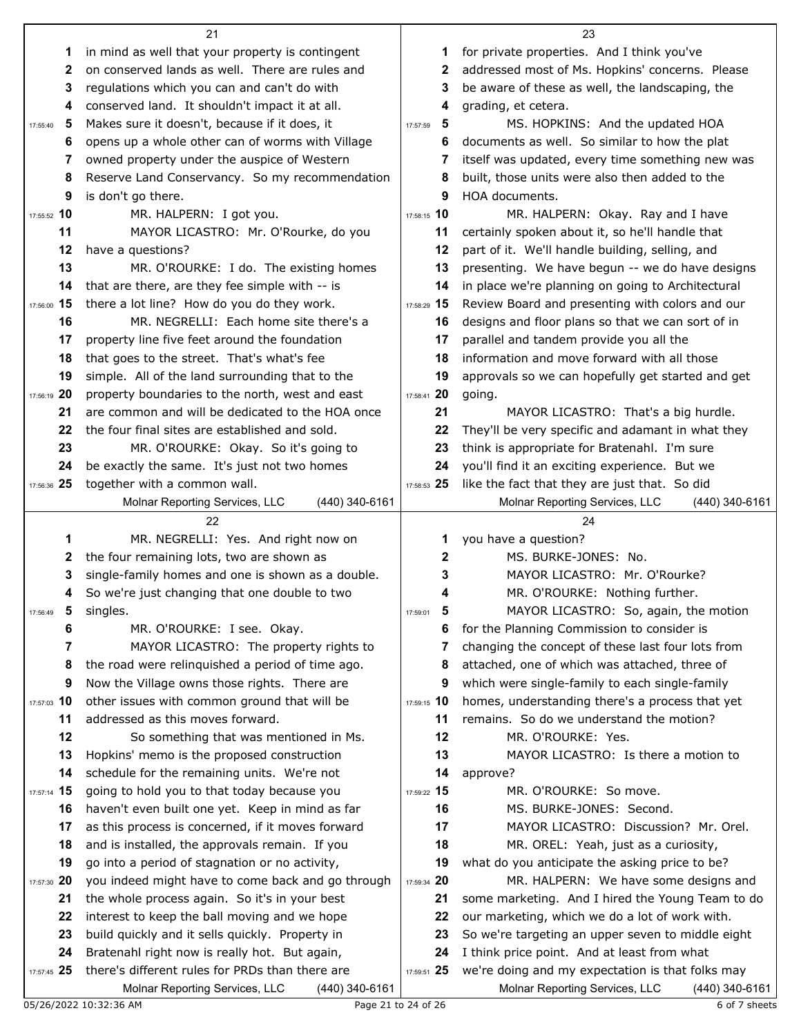|                   | 21                                                                                               |                   | 23                                                                                              |
|-------------------|--------------------------------------------------------------------------------------------------|-------------------|-------------------------------------------------------------------------------------------------|
| 1                 | in mind as well that your property is contingent                                                 | 1                 | for private properties. And I think you've                                                      |
| 2                 | on conserved lands as well. There are rules and                                                  | 2                 | addressed most of Ms. Hopkins' concerns. Please                                                 |
| 3                 | regulations which you can and can't do with                                                      | 3                 | be aware of these as well, the landscaping, the                                                 |
| 4                 | conserved land. It shouldn't impact it at all.                                                   | 4                 | grading, et cetera.                                                                             |
| 5<br>17:55:40     | Makes sure it doesn't, because if it does, it                                                    | 5<br>17:57:59     | MS. HOPKINS: And the updated HOA                                                                |
| 6                 | opens up a whole other can of worms with Village                                                 | 6                 | documents as well. So similar to how the plat                                                   |
| 7                 | owned property under the auspice of Western                                                      | 7                 | itself was updated, every time something new was                                                |
| 8                 | Reserve Land Conservancy. So my recommendation                                                   | 8                 | built, those units were also then added to the                                                  |
| 9                 | is don't go there.                                                                               | 9                 | HOA documents.                                                                                  |
| 17:55:52 10       | MR. HALPERN: I got you.                                                                          | 17:58:15 10       | MR. HALPERN: Okay. Ray and I have                                                               |
| 11                | MAYOR LICASTRO: Mr. O'Rourke, do you                                                             | 11                | certainly spoken about it, so he'll handle that                                                 |
| 12                | have a questions?                                                                                | 12                | part of it. We'll handle building, selling, and                                                 |
| 13                | MR. O'ROURKE: I do. The existing homes                                                           | 13                | presenting. We have begun -- we do have designs                                                 |
| 14                | that are there, are they fee simple with -- is                                                   | 14                | in place we're planning on going to Architectural                                               |
| 17:56:00 15       | there a lot line? How do you do they work.                                                       | 17:58:29 15       | Review Board and presenting with colors and our                                                 |
| 16                | MR. NEGRELLI: Each home site there's a                                                           | 16                | designs and floor plans so that we can sort of in                                               |
| 17                | property line five feet around the foundation                                                    | 17                | parallel and tandem provide you all the                                                         |
| 18                | that goes to the street. That's what's fee                                                       | 18                | information and move forward with all those                                                     |
| 19                | simple. All of the land surrounding that to the                                                  | 19                | approvals so we can hopefully get started and get                                               |
| 17:56:19 20       | property boundaries to the north, west and east                                                  | 17:58:41 20       | going.                                                                                          |
| 21                | are common and will be dedicated to the HOA once                                                 | 21                | MAYOR LICASTRO: That's a big hurdle.                                                            |
| 22                | the four final sites are established and sold.                                                   | 22                | They'll be very specific and adamant in what they                                               |
| 23                | MR. O'ROURKE: Okay. So it's going to                                                             | 23                | think is appropriate for Bratenahl. I'm sure                                                    |
| 24                | be exactly the same. It's just not two homes                                                     | 24                | you'll find it an exciting experience. But we                                                   |
| 17:56:36 25       | together with a common wall.                                                                     | 17:58:53 25       | like the fact that they are just that. So did                                                   |
|                   | Molnar Reporting Services, LLC<br>(440) 340-6161                                                 |                   | Molnar Reporting Services, LLC<br>(440) 340-6161                                                |
|                   |                                                                                                  |                   |                                                                                                 |
|                   | 22                                                                                               |                   | 24                                                                                              |
|                   |                                                                                                  |                   |                                                                                                 |
| 1                 | MR. NEGRELLI: Yes. And right now on                                                              | 1                 | you have a question?                                                                            |
| 2                 | the four remaining lots, two are shown as                                                        | 2                 | MS. BURKE-JONES: No.                                                                            |
| 3                 | single-family homes and one is shown as a double.                                                | 3<br>4            | MAYOR LICASTRO: Mr. O'Rourke?                                                                   |
| 4                 | So we're just changing that one double to two                                                    | б                 | MR. O'ROURKE: Nothing further.                                                                  |
| 17:56:49          | 5 singles.                                                                                       | 17:59:01<br>6     | MAYOR LICASTRO: So, again, the motion                                                           |
| 6<br>7            | MR. O'ROURKE: I see. Okay.                                                                       | 7                 | for the Planning Commission to consider is                                                      |
| 8                 | MAYOR LICASTRO: The property rights to                                                           | 8                 | changing the concept of these last four lots from                                               |
| 9                 | the road were relinquished a period of time ago.                                                 | 9                 | attached, one of which was attached, three of                                                   |
|                   | Now the Village owns those rights. There are                                                     |                   | which were single-family to each single-family                                                  |
| 17:57:03 10<br>11 | other issues with common ground that will be<br>addressed as this moves forward.                 | 17:59:15 10<br>11 | homes, understanding there's a process that yet                                                 |
| 12                |                                                                                                  | 12                | remains. So do we understand the motion?                                                        |
|                   | So something that was mentioned in Ms.                                                           |                   | MR. O'ROURKE: Yes.                                                                              |
| 13                | Hopkins' memo is the proposed construction                                                       | 13                | MAYOR LICASTRO: Is there a motion to                                                            |
| 14                | schedule for the remaining units. We're not                                                      | 14                | approve?                                                                                        |
| 17:57:14 15<br>16 | going to hold you to that today because you                                                      | 17:59:22 15<br>16 | MR. O'ROURKE: So move.                                                                          |
|                   | haven't even built one yet. Keep in mind as far                                                  |                   | MS. BURKE-JONES: Second.                                                                        |
| 17                | as this process is concerned, if it moves forward                                                | 17                | MAYOR LICASTRO: Discussion? Mr. Orel.                                                           |
| 18                | and is installed, the approvals remain. If you                                                   | 18                | MR. OREL: Yeah, just as a curiosity,                                                            |
| 19                | go into a period of stagnation or no activity,                                                   | 19                | what do you anticipate the asking price to be?                                                  |
| 20<br>17:57:30    | you indeed might have to come back and go through                                                | 17:59:34 20       | MR. HALPERN: We have some designs and                                                           |
| 21                | the whole process again. So it's in your best                                                    | 21                | some marketing. And I hired the Young Team to do                                                |
| 22                | interest to keep the ball moving and we hope                                                     | 22                | our marketing, which we do a lot of work with.                                                  |
| 23                | build quickly and it sells quickly. Property in                                                  | 23                | So we're targeting an upper seven to middle eight                                               |
| 24<br>17:57:45 25 | Bratenahl right now is really hot. But again,<br>there's different rules for PRDs than there are | 24<br>17:59:51 25 | I think price point. And at least from what<br>we're doing and my expectation is that folks may |